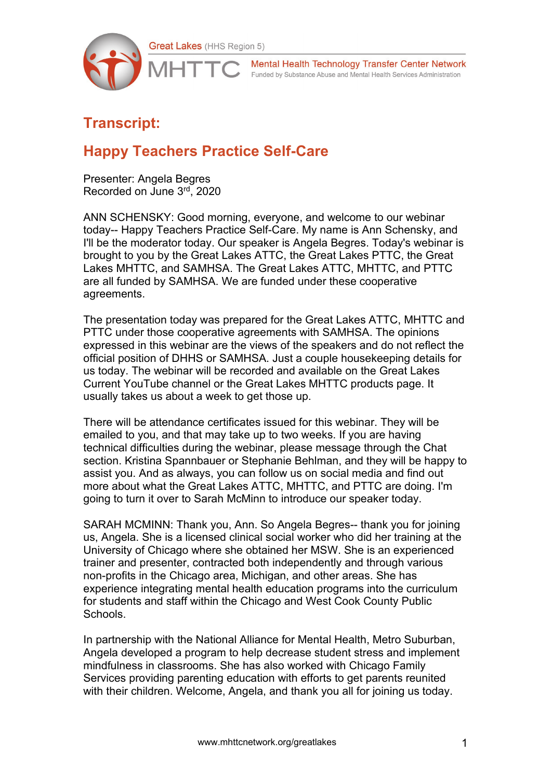

Mental Health Technology Transfer Center Network Funded by Substance Abuse and Mental Health Services Administration

## **Transcript:**

## **Happy Teachers Practice Self-Care**

Presenter: Angela Begres Recorded on June 3rd, 2020

ANN SCHENSKY: Good morning, everyone, and welcome to our webinar today-- Happy Teachers Practice Self-Care. My name is Ann Schensky, and I'll be the moderator today. Our speaker is Angela Begres. Today's webinar is brought to you by the Great Lakes ATTC, the Great Lakes PTTC, the Great Lakes MHTTC, and SAMHSA. The Great Lakes ATTC, MHTTC, and PTTC are all funded by SAMHSA. We are funded under these cooperative agreements.

The presentation today was prepared for the Great Lakes ATTC, MHTTC and PTTC under those cooperative agreements with SAMHSA. The opinions expressed in this webinar are the views of the speakers and do not reflect the official position of DHHS or SAMHSA. Just a couple housekeeping details for us today. The webinar will be recorded and available on the Great Lakes Current YouTube channel or the Great Lakes MHTTC products page. It usually takes us about a week to get those up.

There will be attendance certificates issued for this webinar. They will be emailed to you, and that may take up to two weeks. If you are having technical difficulties during the webinar, please message through the Chat section. Kristina Spannbauer or Stephanie Behlman, and they will be happy to assist you. And as always, you can follow us on social media and find out more about what the Great Lakes ATTC, MHTTC, and PTTC are doing. I'm going to turn it over to Sarah McMinn to introduce our speaker today.

SARAH MCMINN: Thank you, Ann. So Angela Begres-- thank you for joining us, Angela. She is a licensed clinical social worker who did her training at the University of Chicago where she obtained her MSW. She is an experienced trainer and presenter, contracted both independently and through various non-profits in the Chicago area, Michigan, and other areas. She has experience integrating mental health education programs into the curriculum for students and staff within the Chicago and West Cook County Public Schools.

In partnership with the National Alliance for Mental Health, Metro Suburban, Angela developed a program to help decrease student stress and implement mindfulness in classrooms. She has also worked with Chicago Family Services providing parenting education with efforts to get parents reunited with their children. Welcome, Angela, and thank you all for joining us today.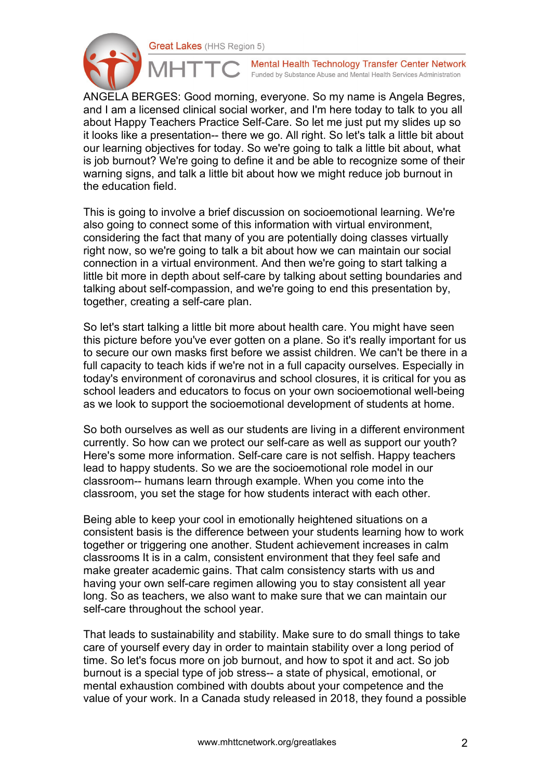

Mental Health Technology Transfer Center Network Funded by Substance Abuse and Mental Health Services Administration

ANGELA BERGES: Good morning, everyone. So my name is Angela Begres, and I am a licensed clinical social worker, and I'm here today to talk to you all about Happy Teachers Practice Self-Care. So let me just put my slides up so it looks like a presentation-- there we go. All right. So let's talk a little bit about our learning objectives for today. So we're going to talk a little bit about, what is job burnout? We're going to define it and be able to recognize some of their warning signs, and talk a little bit about how we might reduce job burnout in the education field.

This is going to involve a brief discussion on socioemotional learning. We're also going to connect some of this information with virtual environment, considering the fact that many of you are potentially doing classes virtually right now, so we're going to talk a bit about how we can maintain our social connection in a virtual environment. And then we're going to start talking a little bit more in depth about self-care by talking about setting boundaries and talking about self-compassion, and we're going to end this presentation by, together, creating a self-care plan.

So let's start talking a little bit more about health care. You might have seen this picture before you've ever gotten on a plane. So it's really important for us to secure our own masks first before we assist children. We can't be there in a full capacity to teach kids if we're not in a full capacity ourselves. Especially in today's environment of coronavirus and school closures, it is critical for you as school leaders and educators to focus on your own socioemotional well-being as we look to support the socioemotional development of students at home.

So both ourselves as well as our students are living in a different environment currently. So how can we protect our self-care as well as support our youth? Here's some more information. Self-care care is not selfish. Happy teachers lead to happy students. So we are the socioemotional role model in our classroom-- humans learn through example. When you come into the classroom, you set the stage for how students interact with each other.

Being able to keep your cool in emotionally heightened situations on a consistent basis is the difference between your students learning how to work together or triggering one another. Student achievement increases in calm classrooms It is in a calm, consistent environment that they feel safe and make greater academic gains. That calm consistency starts with us and having your own self-care regimen allowing you to stay consistent all year long. So as teachers, we also want to make sure that we can maintain our self-care throughout the school year.

That leads to sustainability and stability. Make sure to do small things to take care of yourself every day in order to maintain stability over a long period of time. So let's focus more on job burnout, and how to spot it and act. So job burnout is a special type of job stress-- a state of physical, emotional, or mental exhaustion combined with doubts about your competence and the value of your work. In a Canada study released in 2018, they found a possible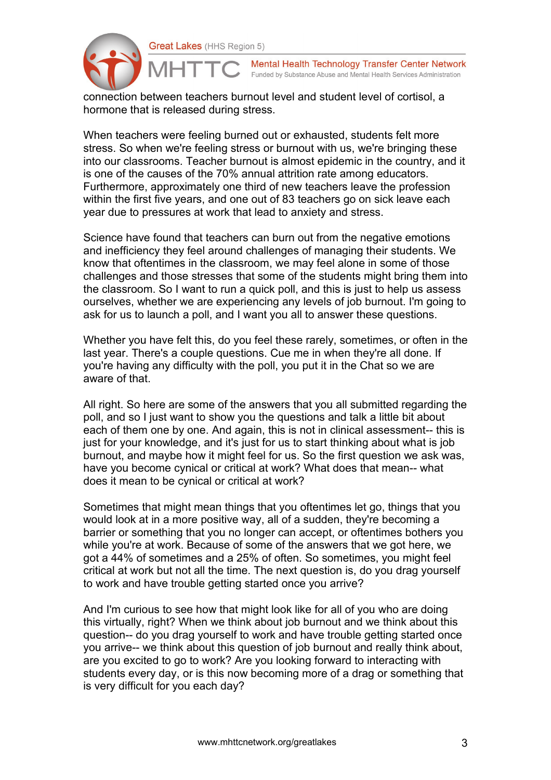

Mental Health Technology Transfer Center Network Funded by Substance Abuse and Mental Health Services Administration

connection between teachers burnout level and student level of cortisol, a hormone that is released during stress.

When teachers were feeling burned out or exhausted, students felt more stress. So when we're feeling stress or burnout with us, we're bringing these into our classrooms. Teacher burnout is almost epidemic in the country, and it is one of the causes of the 70% annual attrition rate among educators. Furthermore, approximately one third of new teachers leave the profession within the first five years, and one out of 83 teachers go on sick leave each year due to pressures at work that lead to anxiety and stress.

Science have found that teachers can burn out from the negative emotions and inefficiency they feel around challenges of managing their students. We know that oftentimes in the classroom, we may feel alone in some of those challenges and those stresses that some of the students might bring them into the classroom. So I want to run a quick poll, and this is just to help us assess ourselves, whether we are experiencing any levels of job burnout. I'm going to ask for us to launch a poll, and I want you all to answer these questions.

Whether you have felt this, do you feel these rarely, sometimes, or often in the last year. There's a couple questions. Cue me in when they're all done. If you're having any difficulty with the poll, you put it in the Chat so we are aware of that.

All right. So here are some of the answers that you all submitted regarding the poll, and so I just want to show you the questions and talk a little bit about each of them one by one. And again, this is not in clinical assessment-- this is just for your knowledge, and it's just for us to start thinking about what is job burnout, and maybe how it might feel for us. So the first question we ask was, have you become cynical or critical at work? What does that mean-- what does it mean to be cynical or critical at work?

Sometimes that might mean things that you oftentimes let go, things that you would look at in a more positive way, all of a sudden, they're becoming a barrier or something that you no longer can accept, or oftentimes bothers you while you're at work. Because of some of the answers that we got here, we got a 44% of sometimes and a 25% of often. So sometimes, you might feel critical at work but not all the time. The next question is, do you drag yourself to work and have trouble getting started once you arrive?

And I'm curious to see how that might look like for all of you who are doing this virtually, right? When we think about job burnout and we think about this question-- do you drag yourself to work and have trouble getting started once you arrive-- we think about this question of job burnout and really think about, are you excited to go to work? Are you looking forward to interacting with students every day, or is this now becoming more of a drag or something that is very difficult for you each day?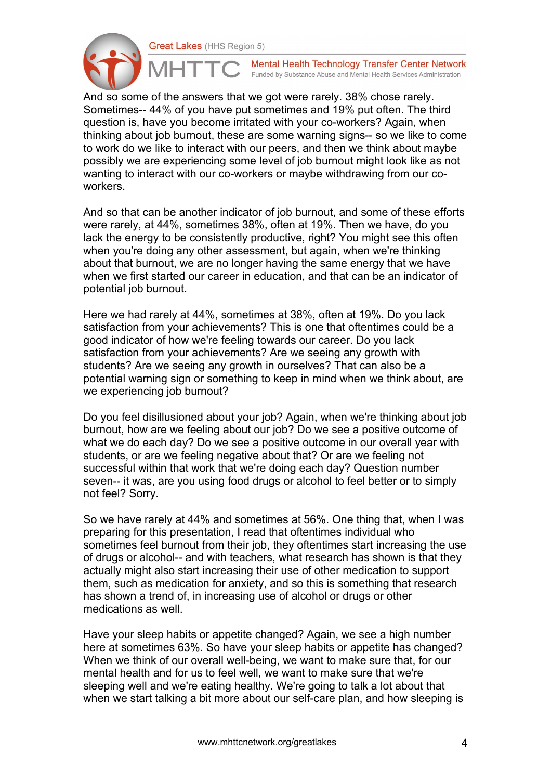

Mental Health Technology Transfer Center Network Funded by Substance Abuse and Mental Health Services Administration

And so some of the answers that we got were rarely. 38% chose rarely. Sometimes-- 44% of you have put sometimes and 19% put often. The third question is, have you become irritated with your co-workers? Again, when thinking about job burnout, these are some warning signs-- so we like to come to work do we like to interact with our peers, and then we think about maybe possibly we are experiencing some level of job burnout might look like as not wanting to interact with our co-workers or maybe withdrawing from our coworkers.

And so that can be another indicator of job burnout, and some of these efforts were rarely, at 44%, sometimes 38%, often at 19%. Then we have, do you lack the energy to be consistently productive, right? You might see this often when you're doing any other assessment, but again, when we're thinking about that burnout, we are no longer having the same energy that we have when we first started our career in education, and that can be an indicator of potential job burnout.

Here we had rarely at 44%, sometimes at 38%, often at 19%. Do you lack satisfaction from your achievements? This is one that oftentimes could be a good indicator of how we're feeling towards our career. Do you lack satisfaction from your achievements? Are we seeing any growth with students? Are we seeing any growth in ourselves? That can also be a potential warning sign or something to keep in mind when we think about, are we experiencing job burnout?

Do you feel disillusioned about your job? Again, when we're thinking about job burnout, how are we feeling about our job? Do we see a positive outcome of what we do each day? Do we see a positive outcome in our overall year with students, or are we feeling negative about that? Or are we feeling not successful within that work that we're doing each day? Question number seven-- it was, are you using food drugs or alcohol to feel better or to simply not feel? Sorry.

So we have rarely at 44% and sometimes at 56%. One thing that, when I was preparing for this presentation, I read that oftentimes individual who sometimes feel burnout from their job, they oftentimes start increasing the use of drugs or alcohol-- and with teachers, what research has shown is that they actually might also start increasing their use of other medication to support them, such as medication for anxiety, and so this is something that research has shown a trend of, in increasing use of alcohol or drugs or other medications as well.

Have your sleep habits or appetite changed? Again, we see a high number here at sometimes 63%. So have your sleep habits or appetite has changed? When we think of our overall well-being, we want to make sure that, for our mental health and for us to feel well, we want to make sure that we're sleeping well and we're eating healthy. We're going to talk a lot about that when we start talking a bit more about our self-care plan, and how sleeping is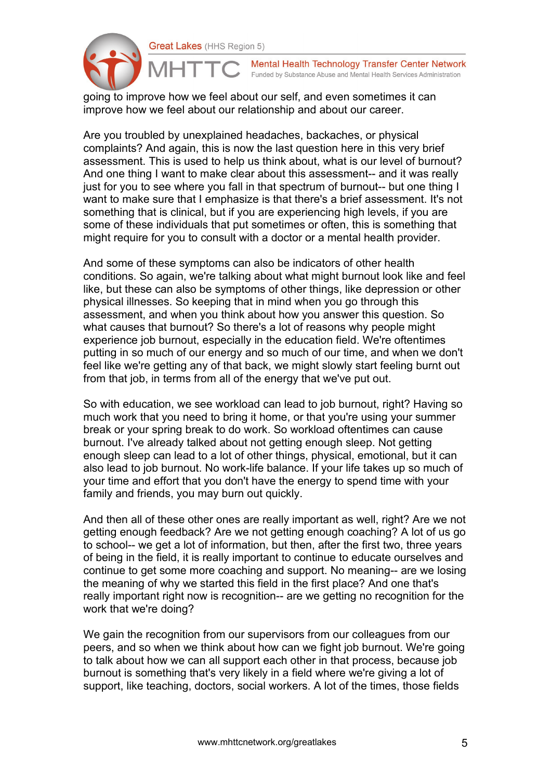

Mental Health Technology Transfer Center Network Funded by Substance Abuse and Mental Health Services Administration

going to improve how we feel about our self, and even sometimes it can improve how we feel about our relationship and about our career.

Are you troubled by unexplained headaches, backaches, or physical complaints? And again, this is now the last question here in this very brief assessment. This is used to help us think about, what is our level of burnout? And one thing I want to make clear about this assessment-- and it was really just for you to see where you fall in that spectrum of burnout-- but one thing I want to make sure that I emphasize is that there's a brief assessment. It's not something that is clinical, but if you are experiencing high levels, if you are some of these individuals that put sometimes or often, this is something that might require for you to consult with a doctor or a mental health provider.

And some of these symptoms can also be indicators of other health conditions. So again, we're talking about what might burnout look like and feel like, but these can also be symptoms of other things, like depression or other physical illnesses. So keeping that in mind when you go through this assessment, and when you think about how you answer this question. So what causes that burnout? So there's a lot of reasons why people might experience job burnout, especially in the education field. We're oftentimes putting in so much of our energy and so much of our time, and when we don't feel like we're getting any of that back, we might slowly start feeling burnt out from that job, in terms from all of the energy that we've put out.

So with education, we see workload can lead to job burnout, right? Having so much work that you need to bring it home, or that you're using your summer break or your spring break to do work. So workload oftentimes can cause burnout. I've already talked about not getting enough sleep. Not getting enough sleep can lead to a lot of other things, physical, emotional, but it can also lead to job burnout. No work-life balance. If your life takes up so much of your time and effort that you don't have the energy to spend time with your family and friends, you may burn out quickly.

And then all of these other ones are really important as well, right? Are we not getting enough feedback? Are we not getting enough coaching? A lot of us go to school-- we get a lot of information, but then, after the first two, three years of being in the field, it is really important to continue to educate ourselves and continue to get some more coaching and support. No meaning-- are we losing the meaning of why we started this field in the first place? And one that's really important right now is recognition-- are we getting no recognition for the work that we're doing?

We gain the recognition from our supervisors from our colleagues from our peers, and so when we think about how can we fight job burnout. We're going to talk about how we can all support each other in that process, because job burnout is something that's very likely in a field where we're giving a lot of support, like teaching, doctors, social workers. A lot of the times, those fields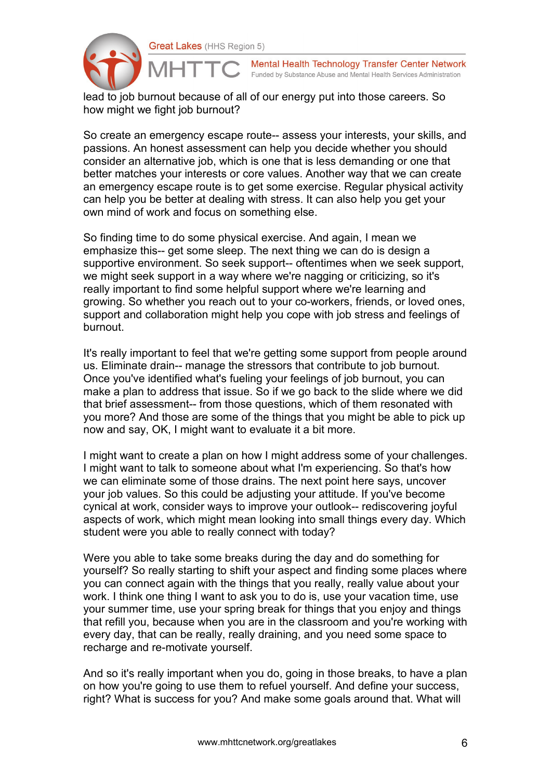

Mental Health Technology Transfer Center Network Funded by Substance Abuse and Mental Health Services Administration

lead to job burnout because of all of our energy put into those careers. So how might we fight job burnout?

So create an emergency escape route-- assess your interests, your skills, and passions. An honest assessment can help you decide whether you should consider an alternative job, which is one that is less demanding or one that better matches your interests or core values. Another way that we can create an emergency escape route is to get some exercise. Regular physical activity can help you be better at dealing with stress. It can also help you get your own mind of work and focus on something else.

So finding time to do some physical exercise. And again, I mean we emphasize this-- get some sleep. The next thing we can do is design a supportive environment. So seek support-- oftentimes when we seek support, we might seek support in a way where we're nagging or criticizing, so it's really important to find some helpful support where we're learning and growing. So whether you reach out to your co-workers, friends, or loved ones, support and collaboration might help you cope with job stress and feelings of burnout.

It's really important to feel that we're getting some support from people around us. Eliminate drain-- manage the stressors that contribute to job burnout. Once you've identified what's fueling your feelings of job burnout, you can make a plan to address that issue. So if we go back to the slide where we did that brief assessment-- from those questions, which of them resonated with you more? And those are some of the things that you might be able to pick up now and say, OK, I might want to evaluate it a bit more.

I might want to create a plan on how I might address some of your challenges. I might want to talk to someone about what I'm experiencing. So that's how we can eliminate some of those drains. The next point here says, uncover your job values. So this could be adjusting your attitude. If you've become cynical at work, consider ways to improve your outlook-- rediscovering joyful aspects of work, which might mean looking into small things every day. Which student were you able to really connect with today?

Were you able to take some breaks during the day and do something for yourself? So really starting to shift your aspect and finding some places where you can connect again with the things that you really, really value about your work. I think one thing I want to ask you to do is, use your vacation time, use your summer time, use your spring break for things that you enjoy and things that refill you, because when you are in the classroom and you're working with every day, that can be really, really draining, and you need some space to recharge and re-motivate yourself.

And so it's really important when you do, going in those breaks, to have a plan on how you're going to use them to refuel yourself. And define your success, right? What is success for you? And make some goals around that. What will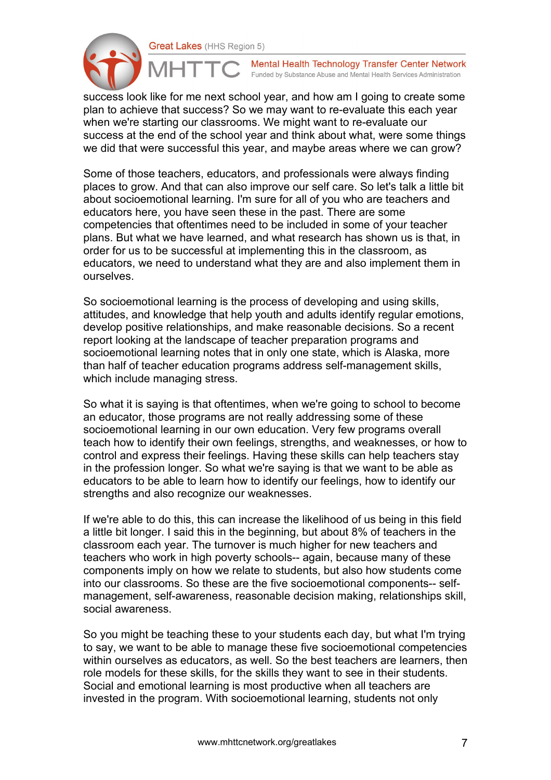

Mental Health Technology Transfer Center Network Funded by Substance Abuse and Mental Health Services Administration

success look like for me next school year, and how am I going to create some plan to achieve that success? So we may want to re-evaluate this each year when we're starting our classrooms. We might want to re-evaluate our success at the end of the school year and think about what, were some things we did that were successful this year, and maybe areas where we can grow?

Some of those teachers, educators, and professionals were always finding places to grow. And that can also improve our self care. So let's talk a little bit about socioemotional learning. I'm sure for all of you who are teachers and educators here, you have seen these in the past. There are some competencies that oftentimes need to be included in some of your teacher plans. But what we have learned, and what research has shown us is that, in order for us to be successful at implementing this in the classroom, as educators, we need to understand what they are and also implement them in ourselves.

So socioemotional learning is the process of developing and using skills, attitudes, and knowledge that help youth and adults identify regular emotions, develop positive relationships, and make reasonable decisions. So a recent report looking at the landscape of teacher preparation programs and socioemotional learning notes that in only one state, which is Alaska, more than half of teacher education programs address self-management skills, which include managing stress.

So what it is saying is that oftentimes, when we're going to school to become an educator, those programs are not really addressing some of these socioemotional learning in our own education. Very few programs overall teach how to identify their own feelings, strengths, and weaknesses, or how to control and express their feelings. Having these skills can help teachers stay in the profession longer. So what we're saying is that we want to be able as educators to be able to learn how to identify our feelings, how to identify our strengths and also recognize our weaknesses.

If we're able to do this, this can increase the likelihood of us being in this field a little bit longer. I said this in the beginning, but about 8% of teachers in the classroom each year. The turnover is much higher for new teachers and teachers who work in high poverty schools-- again, because many of these components imply on how we relate to students, but also how students come into our classrooms. So these are the five socioemotional components-- selfmanagement, self-awareness, reasonable decision making, relationships skill, social awareness.

So you might be teaching these to your students each day, but what I'm trying to say, we want to be able to manage these five socioemotional competencies within ourselves as educators, as well. So the best teachers are learners, then role models for these skills, for the skills they want to see in their students. Social and emotional learning is most productive when all teachers are invested in the program. With socioemotional learning, students not only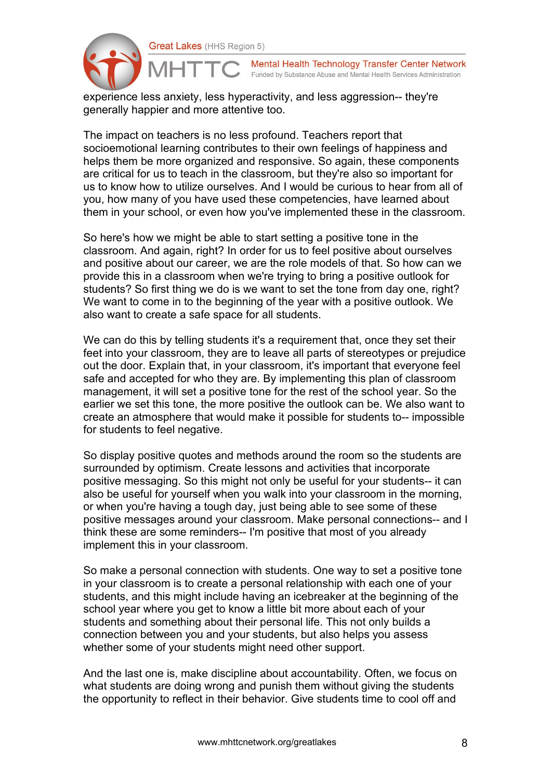

Mental Health Technology Transfer Center Network Funded by Substance Abuse and Mental Health Services Administration

experience less anxiety, less hyperactivity, and less aggression-- they're generally happier and more attentive too.

The impact on teachers is no less profound. Teachers report that socioemotional learning contributes to their own feelings of happiness and helps them be more organized and responsive. So again, these components are critical for us to teach in the classroom, but they're also so important for us to know how to utilize ourselves. And I would be curious to hear from all of you, how many of you have used these competencies, have learned about them in your school, or even how you've implemented these in the classroom.

So here's how we might be able to start setting a positive tone in the classroom. And again, right? In order for us to feel positive about ourselves and positive about our career, we are the role models of that. So how can we provide this in a classroom when we're trying to bring a positive outlook for students? So first thing we do is we want to set the tone from day one, right? We want to come in to the beginning of the year with a positive outlook. We also want to create a safe space for all students.

We can do this by telling students it's a requirement that, once they set their feet into your classroom, they are to leave all parts of stereotypes or prejudice out the door. Explain that, in your classroom, it's important that everyone feel safe and accepted for who they are. By implementing this plan of classroom management, it will set a positive tone for the rest of the school year. So the earlier we set this tone, the more positive the outlook can be. We also want to create an atmosphere that would make it possible for students to-- impossible for students to feel negative.

So display positive quotes and methods around the room so the students are surrounded by optimism. Create lessons and activities that incorporate positive messaging. So this might not only be useful for your students-- it can also be useful for yourself when you walk into your classroom in the morning, or when you're having a tough day, just being able to see some of these positive messages around your classroom. Make personal connections-- and I think these are some reminders-- I'm positive that most of you already implement this in your classroom.

So make a personal connection with students. One way to set a positive tone in your classroom is to create a personal relationship with each one of your students, and this might include having an icebreaker at the beginning of the school year where you get to know a little bit more about each of your students and something about their personal life. This not only builds a connection between you and your students, but also helps you assess whether some of your students might need other support.

And the last one is, make discipline about accountability. Often, we focus on what students are doing wrong and punish them without giving the students the opportunity to reflect in their behavior. Give students time to cool off and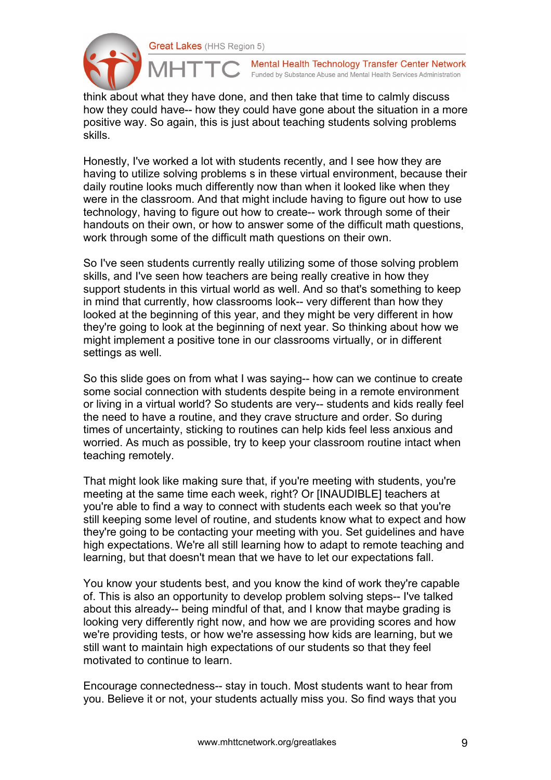

Mental Health Technology Transfer Center Network Funded by Substance Abuse and Mental Health Services Administration

think about what they have done, and then take that time to calmly discuss how they could have-- how they could have gone about the situation in a more positive way. So again, this is just about teaching students solving problems skills.

Honestly, I've worked a lot with students recently, and I see how they are having to utilize solving problems s in these virtual environment, because their daily routine looks much differently now than when it looked like when they were in the classroom. And that might include having to figure out how to use technology, having to figure out how to create-- work through some of their handouts on their own, or how to answer some of the difficult math questions, work through some of the difficult math questions on their own.

So I've seen students currently really utilizing some of those solving problem skills, and I've seen how teachers are being really creative in how they support students in this virtual world as well. And so that's something to keep in mind that currently, how classrooms look-- very different than how they looked at the beginning of this year, and they might be very different in how they're going to look at the beginning of next year. So thinking about how we might implement a positive tone in our classrooms virtually, or in different settings as well.

So this slide goes on from what I was saying-- how can we continue to create some social connection with students despite being in a remote environment or living in a virtual world? So students are very-- students and kids really feel the need to have a routine, and they crave structure and order. So during times of uncertainty, sticking to routines can help kids feel less anxious and worried. As much as possible, try to keep your classroom routine intact when teaching remotely.

That might look like making sure that, if you're meeting with students, you're meeting at the same time each week, right? Or [INAUDIBLE] teachers at you're able to find a way to connect with students each week so that you're still keeping some level of routine, and students know what to expect and how they're going to be contacting your meeting with you. Set guidelines and have high expectations. We're all still learning how to adapt to remote teaching and learning, but that doesn't mean that we have to let our expectations fall.

You know your students best, and you know the kind of work they're capable of. This is also an opportunity to develop problem solving steps-- I've talked about this already-- being mindful of that, and I know that maybe grading is looking very differently right now, and how we are providing scores and how we're providing tests, or how we're assessing how kids are learning, but we still want to maintain high expectations of our students so that they feel motivated to continue to learn.

Encourage connectedness-- stay in touch. Most students want to hear from you. Believe it or not, your students actually miss you. So find ways that you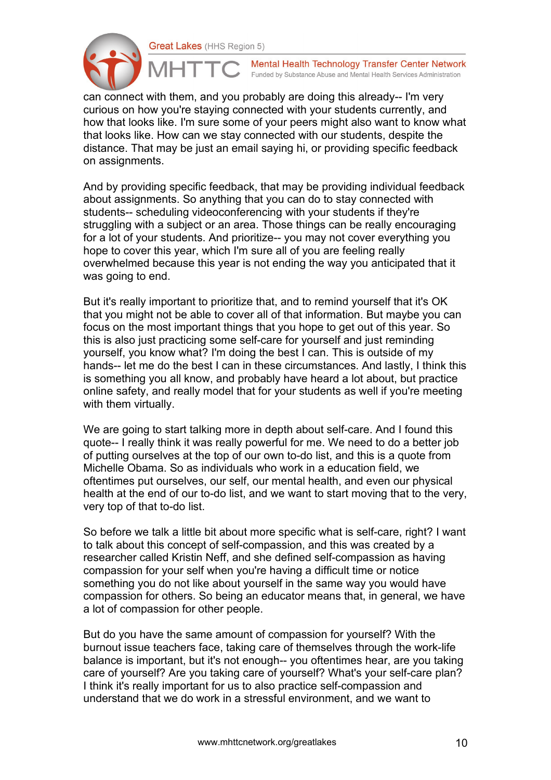

Mental Health Technology Transfer Center Network Funded by Substance Abuse and Mental Health Services Administration

can connect with them, and you probably are doing this already-- I'm very curious on how you're staying connected with your students currently, and how that looks like. I'm sure some of your peers might also want to know what that looks like. How can we stay connected with our students, despite the distance. That may be just an email saying hi, or providing specific feedback on assignments.

And by providing specific feedback, that may be providing individual feedback about assignments. So anything that you can do to stay connected with students-- scheduling videoconferencing with your students if they're struggling with a subject or an area. Those things can be really encouraging for a lot of your students. And prioritize-- you may not cover everything you hope to cover this year, which I'm sure all of you are feeling really overwhelmed because this year is not ending the way you anticipated that it was going to end.

But it's really important to prioritize that, and to remind yourself that it's OK that you might not be able to cover all of that information. But maybe you can focus on the most important things that you hope to get out of this year. So this is also just practicing some self-care for yourself and just reminding yourself, you know what? I'm doing the best I can. This is outside of my hands-- let me do the best I can in these circumstances. And lastly, I think this is something you all know, and probably have heard a lot about, but practice online safety, and really model that for your students as well if you're meeting with them virtually.

We are going to start talking more in depth about self-care. And I found this quote-- I really think it was really powerful for me. We need to do a better job of putting ourselves at the top of our own to-do list, and this is a quote from Michelle Obama. So as individuals who work in a education field, we oftentimes put ourselves, our self, our mental health, and even our physical health at the end of our to-do list, and we want to start moving that to the very, very top of that to-do list.

So before we talk a little bit about more specific what is self-care, right? I want to talk about this concept of self-compassion, and this was created by a researcher called Kristin Neff, and she defined self-compassion as having compassion for your self when you're having a difficult time or notice something you do not like about yourself in the same way you would have compassion for others. So being an educator means that, in general, we have a lot of compassion for other people.

But do you have the same amount of compassion for yourself? With the burnout issue teachers face, taking care of themselves through the work-life balance is important, but it's not enough-- you oftentimes hear, are you taking care of yourself? Are you taking care of yourself? What's your self-care plan? I think it's really important for us to also practice self-compassion and understand that we do work in a stressful environment, and we want to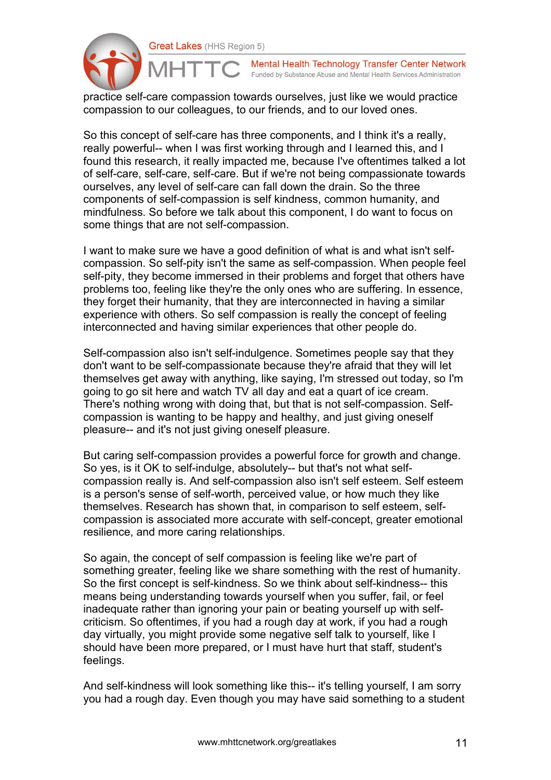

Mental Health Technology Transfer Center Network Funded by Substance Abuse and Mental Health Services Administration

practice self-care compassion towards ourselves, just like we would practice compassion to our colleagues, to our friends, and to our loved ones.

So this concept of self-care has three components, and I think it's a really, really powerful-- when I was first working through and I learned this, and I found this research, it really impacted me, because I've oftentimes talked a lot of self-care, self-care, self-care. But if we're not being compassionate towards ourselves, any level of self-care can fall down the drain. So the three components of self-compassion is self kindness, common humanity, and mindfulness. So before we talk about this component, I do want to focus on some things that are not self-compassion.

I want to make sure we have a good definition of what is and what isn't selfcompassion. So self-pity isn't the same as self-compassion. When people feel self-pity, they become immersed in their problems and forget that others have problems too, feeling like they're the only ones who are suffering. In essence, they forget their humanity, that they are interconnected in having a similar experience with others. So self compassion is really the concept of feeling interconnected and having similar experiences that other people do.

Self-compassion also isn't self-indulgence. Sometimes people say that they don't want to be self-compassionate because they're afraid that they will let themselves get away with anything, like saying, I'm stressed out today, so I'm going to go sit here and watch TV all day and eat a quart of ice cream. There's nothing wrong with doing that, but that is not self-compassion. Selfcompassion is wanting to be happy and healthy, and just giving oneself pleasure-- and it's not just giving oneself pleasure.

But caring self-compassion provides a powerful force for growth and change. So yes, is it OK to self-indulge, absolutely-- but that's not what selfcompassion really is. And self-compassion also isn't self esteem. Self esteem is a person's sense of self-worth, perceived value, or how much they like themselves. Research has shown that, in comparison to self esteem, selfcompassion is associated more accurate with self-concept, greater emotional resilience, and more caring relationships.

So again, the concept of self compassion is feeling like we're part of something greater, feeling like we share something with the rest of humanity. So the first concept is self-kindness. So we think about self-kindness-- this means being understanding towards yourself when you suffer, fail, or feel inadequate rather than ignoring your pain or beating yourself up with selfcriticism. So oftentimes, if you had a rough day at work, if you had a rough day virtually, you might provide some negative self talk to yourself, like I should have been more prepared, or I must have hurt that staff, student's feelings.

And self-kindness will look something like this-- it's telling yourself, I am sorry you had a rough day. Even though you may have said something to a student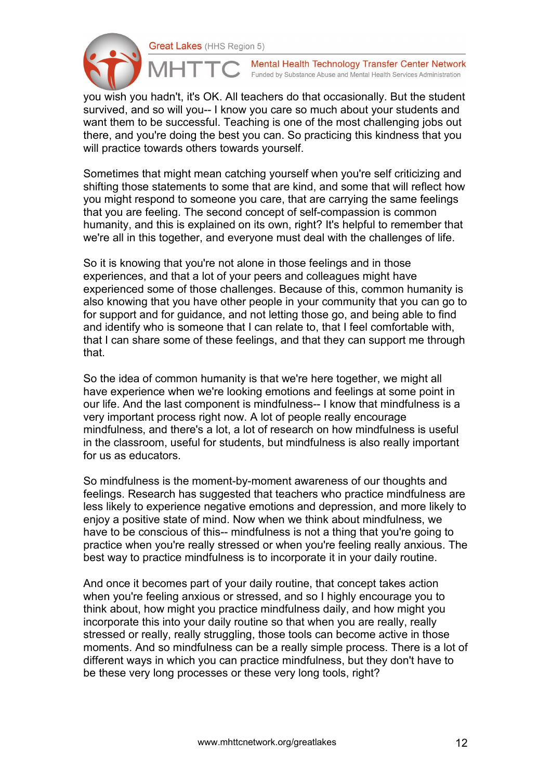

Mental Health Technology Transfer Center Network Funded by Substance Abuse and Mental Health Services Administration

you wish you hadn't, it's OK. All teachers do that occasionally. But the student survived, and so will you-- I know you care so much about your students and want them to be successful. Teaching is one of the most challenging jobs out there, and you're doing the best you can. So practicing this kindness that you will practice towards others towards yourself.

Sometimes that might mean catching yourself when you're self criticizing and shifting those statements to some that are kind, and some that will reflect how you might respond to someone you care, that are carrying the same feelings that you are feeling. The second concept of self-compassion is common humanity, and this is explained on its own, right? It's helpful to remember that we're all in this together, and everyone must deal with the challenges of life.

So it is knowing that you're not alone in those feelings and in those experiences, and that a lot of your peers and colleagues might have experienced some of those challenges. Because of this, common humanity is also knowing that you have other people in your community that you can go to for support and for guidance, and not letting those go, and being able to find and identify who is someone that I can relate to, that I feel comfortable with, that I can share some of these feelings, and that they can support me through that.

So the idea of common humanity is that we're here together, we might all have experience when we're looking emotions and feelings at some point in our life. And the last component is mindfulness-- I know that mindfulness is a very important process right now. A lot of people really encourage mindfulness, and there's a lot, a lot of research on how mindfulness is useful in the classroom, useful for students, but mindfulness is also really important for us as educators.

So mindfulness is the moment-by-moment awareness of our thoughts and feelings. Research has suggested that teachers who practice mindfulness are less likely to experience negative emotions and depression, and more likely to enjoy a positive state of mind. Now when we think about mindfulness, we have to be conscious of this-- mindfulness is not a thing that you're going to practice when you're really stressed or when you're feeling really anxious. The best way to practice mindfulness is to incorporate it in your daily routine.

And once it becomes part of your daily routine, that concept takes action when you're feeling anxious or stressed, and so I highly encourage you to think about, how might you practice mindfulness daily, and how might you incorporate this into your daily routine so that when you are really, really stressed or really, really struggling, those tools can become active in those moments. And so mindfulness can be a really simple process. There is a lot of different ways in which you can practice mindfulness, but they don't have to be these very long processes or these very long tools, right?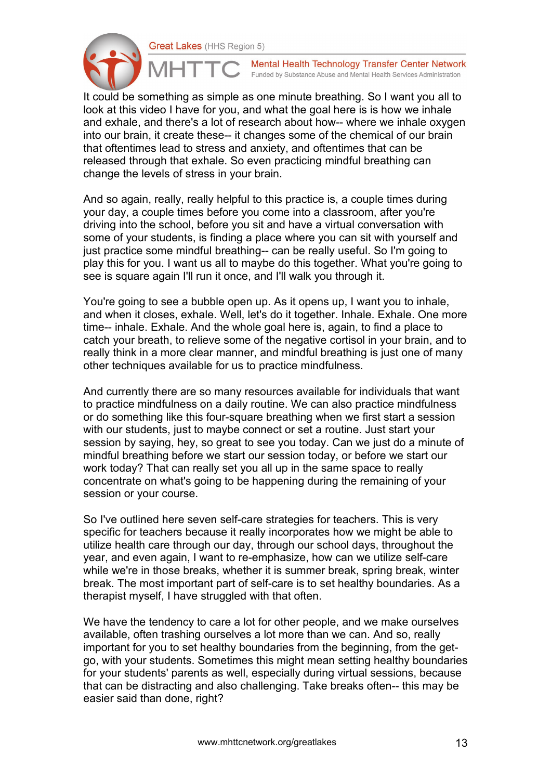

Mental Health Technology Transfer Center Network Funded by Substance Abuse and Mental Health Services Administration

It could be something as simple as one minute breathing. So I want you all to look at this video I have for you, and what the goal here is is how we inhale and exhale, and there's a lot of research about how-- where we inhale oxygen into our brain, it create these-- it changes some of the chemical of our brain that oftentimes lead to stress and anxiety, and oftentimes that can be released through that exhale. So even practicing mindful breathing can change the levels of stress in your brain.

And so again, really, really helpful to this practice is, a couple times during your day, a couple times before you come into a classroom, after you're driving into the school, before you sit and have a virtual conversation with some of your students, is finding a place where you can sit with yourself and just practice some mindful breathing-- can be really useful. So I'm going to play this for you. I want us all to maybe do this together. What you're going to see is square again I'll run it once, and I'll walk you through it.

You're going to see a bubble open up. As it opens up, I want you to inhale, and when it closes, exhale. Well, let's do it together. Inhale. Exhale. One more time-- inhale. Exhale. And the whole goal here is, again, to find a place to catch your breath, to relieve some of the negative cortisol in your brain, and to really think in a more clear manner, and mindful breathing is just one of many other techniques available for us to practice mindfulness.

And currently there are so many resources available for individuals that want to practice mindfulness on a daily routine. We can also practice mindfulness or do something like this four-square breathing when we first start a session with our students, just to maybe connect or set a routine. Just start your session by saying, hey, so great to see you today. Can we just do a minute of mindful breathing before we start our session today, or before we start our work today? That can really set you all up in the same space to really concentrate on what's going to be happening during the remaining of your session or your course.

So I've outlined here seven self-care strategies for teachers. This is very specific for teachers because it really incorporates how we might be able to utilize health care through our day, through our school days, throughout the year, and even again, I want to re-emphasize, how can we utilize self-care while we're in those breaks, whether it is summer break, spring break, winter break. The most important part of self-care is to set healthy boundaries. As a therapist myself, I have struggled with that often.

We have the tendency to care a lot for other people, and we make ourselves available, often trashing ourselves a lot more than we can. And so, really important for you to set healthy boundaries from the beginning, from the getgo, with your students. Sometimes this might mean setting healthy boundaries for your students' parents as well, especially during virtual sessions, because that can be distracting and also challenging. Take breaks often-- this may be easier said than done, right?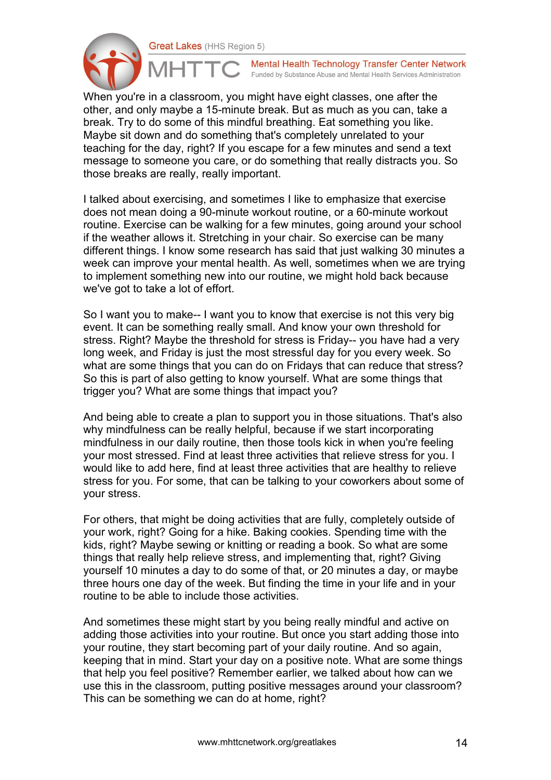

Mental Health Technology Transfer Center Network Funded by Substance Abuse and Mental Health Services Administration

When you're in a classroom, you might have eight classes, one after the other, and only maybe a 15-minute break. But as much as you can, take a break. Try to do some of this mindful breathing. Eat something you like. Maybe sit down and do something that's completely unrelated to your teaching for the day, right? If you escape for a few minutes and send a text message to someone you care, or do something that really distracts you. So those breaks are really, really important.

I talked about exercising, and sometimes I like to emphasize that exercise does not mean doing a 90-minute workout routine, or a 60-minute workout routine. Exercise can be walking for a few minutes, going around your school if the weather allows it. Stretching in your chair. So exercise can be many different things. I know some research has said that just walking 30 minutes a week can improve your mental health. As well, sometimes when we are trying to implement something new into our routine, we might hold back because we've got to take a lot of effort.

So I want you to make-- I want you to know that exercise is not this very big event. It can be something really small. And know your own threshold for stress. Right? Maybe the threshold for stress is Friday-- you have had a very long week, and Friday is just the most stressful day for you every week. So what are some things that you can do on Fridays that can reduce that stress? So this is part of also getting to know yourself. What are some things that trigger you? What are some things that impact you?

And being able to create a plan to support you in those situations. That's also why mindfulness can be really helpful, because if we start incorporating mindfulness in our daily routine, then those tools kick in when you're feeling your most stressed. Find at least three activities that relieve stress for you. I would like to add here, find at least three activities that are healthy to relieve stress for you. For some, that can be talking to your coworkers about some of your stress.

For others, that might be doing activities that are fully, completely outside of your work, right? Going for a hike. Baking cookies. Spending time with the kids, right? Maybe sewing or knitting or reading a book. So what are some things that really help relieve stress, and implementing that, right? Giving yourself 10 minutes a day to do some of that, or 20 minutes a day, or maybe three hours one day of the week. But finding the time in your life and in your routine to be able to include those activities.

And sometimes these might start by you being really mindful and active on adding those activities into your routine. But once you start adding those into your routine, they start becoming part of your daily routine. And so again, keeping that in mind. Start your day on a positive note. What are some things that help you feel positive? Remember earlier, we talked about how can we use this in the classroom, putting positive messages around your classroom? This can be something we can do at home, right?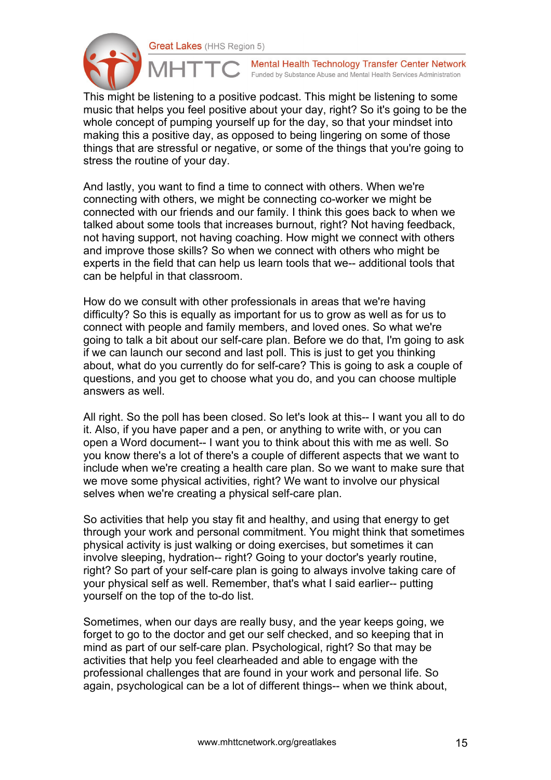

Mental Health Technology Transfer Center Network Funded by Substance Abuse and Mental Health Services Administration

This might be listening to a positive podcast. This might be listening to some music that helps you feel positive about your day, right? So it's going to be the whole concept of pumping yourself up for the day, so that your mindset into making this a positive day, as opposed to being lingering on some of those things that are stressful or negative, or some of the things that you're going to stress the routine of your day.

And lastly, you want to find a time to connect with others. When we're connecting with others, we might be connecting co-worker we might be connected with our friends and our family. I think this goes back to when we talked about some tools that increases burnout, right? Not having feedback, not having support, not having coaching. How might we connect with others and improve those skills? So when we connect with others who might be experts in the field that can help us learn tools that we-- additional tools that can be helpful in that classroom.

How do we consult with other professionals in areas that we're having difficulty? So this is equally as important for us to grow as well as for us to connect with people and family members, and loved ones. So what we're going to talk a bit about our self-care plan. Before we do that, I'm going to ask if we can launch our second and last poll. This is just to get you thinking about, what do you currently do for self-care? This is going to ask a couple of questions, and you get to choose what you do, and you can choose multiple answers as well.

All right. So the poll has been closed. So let's look at this-- I want you all to do it. Also, if you have paper and a pen, or anything to write with, or you can open a Word document-- I want you to think about this with me as well. So you know there's a lot of there's a couple of different aspects that we want to include when we're creating a health care plan. So we want to make sure that we move some physical activities, right? We want to involve our physical selves when we're creating a physical self-care plan.

So activities that help you stay fit and healthy, and using that energy to get through your work and personal commitment. You might think that sometimes physical activity is just walking or doing exercises, but sometimes it can involve sleeping, hydration-- right? Going to your doctor's yearly routine, right? So part of your self-care plan is going to always involve taking care of your physical self as well. Remember, that's what I said earlier-- putting yourself on the top of the to-do list.

Sometimes, when our days are really busy, and the year keeps going, we forget to go to the doctor and get our self checked, and so keeping that in mind as part of our self-care plan. Psychological, right? So that may be activities that help you feel clearheaded and able to engage with the professional challenges that are found in your work and personal life. So again, psychological can be a lot of different things-- when we think about,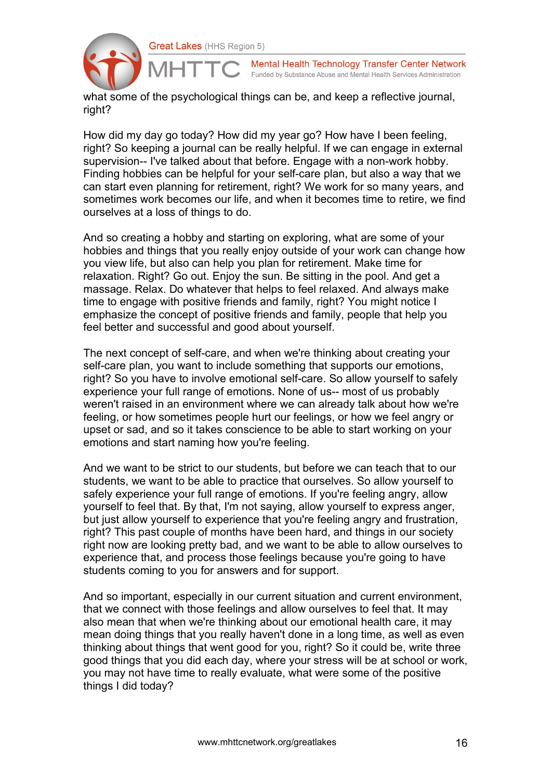

Mental Health Technology Transfer Center Network Funded by Substance Abuse and Mental Health Services Administration

what some of the psychological things can be, and keep a reflective journal, right?

How did my day go today? How did my year go? How have I been feeling, right? So keeping a journal can be really helpful. If we can engage in external supervision-- I've talked about that before. Engage with a non-work hobby. Finding hobbies can be helpful for your self-care plan, but also a way that we can start even planning for retirement, right? We work for so many years, and sometimes work becomes our life, and when it becomes time to retire, we find ourselves at a loss of things to do.

And so creating a hobby and starting on exploring, what are some of your hobbies and things that you really enjoy outside of your work can change how you view life, but also can help you plan for retirement. Make time for relaxation. Right? Go out. Enjoy the sun. Be sitting in the pool. And get a massage. Relax. Do whatever that helps to feel relaxed. And always make time to engage with positive friends and family, right? You might notice I emphasize the concept of positive friends and family, people that help you feel better and successful and good about yourself.

The next concept of self-care, and when we're thinking about creating your self-care plan, you want to include something that supports our emotions, right? So you have to involve emotional self-care. So allow yourself to safely experience your full range of emotions. None of us-- most of us probably weren't raised in an environment where we can already talk about how we're feeling, or how sometimes people hurt our feelings, or how we feel angry or upset or sad, and so it takes conscience to be able to start working on your emotions and start naming how you're feeling.

And we want to be strict to our students, but before we can teach that to our students, we want to be able to practice that ourselves. So allow yourself to safely experience your full range of emotions. If you're feeling angry, allow yourself to feel that. By that, I'm not saying, allow yourself to express anger, but just allow yourself to experience that you're feeling angry and frustration, right? This past couple of months have been hard, and things in our society right now are looking pretty bad, and we want to be able to allow ourselves to experience that, and process those feelings because you're going to have students coming to you for answers and for support.

And so important, especially in our current situation and current environment, that we connect with those feelings and allow ourselves to feel that. It may also mean that when we're thinking about our emotional health care, it may mean doing things that you really haven't done in a long time, as well as even thinking about things that went good for you, right? So it could be, write three good things that you did each day, where your stress will be at school or work, you may not have time to really evaluate, what were some of the positive things I did today?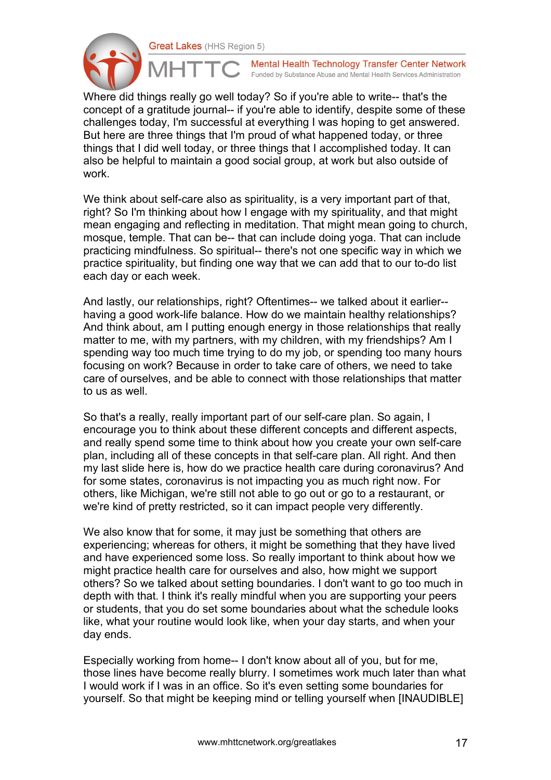

Mental Health Technology Transfer Center Network Funded by Substance Abuse and Mental Health Services Administration

Where did things really go well today? So if you're able to write-- that's the concept of a gratitude journal-- if you're able to identify, despite some of these challenges today, I'm successful at everything I was hoping to get answered. But here are three things that I'm proud of what happened today, or three things that I did well today, or three things that I accomplished today. It can also be helpful to maintain a good social group, at work but also outside of work.

We think about self-care also as spirituality, is a very important part of that, right? So I'm thinking about how I engage with my spirituality, and that might mean engaging and reflecting in meditation. That might mean going to church, mosque, temple. That can be-- that can include doing yoga. That can include practicing mindfulness. So spiritual-- there's not one specific way in which we practice spirituality, but finding one way that we can add that to our to-do list each day or each week.

And lastly, our relationships, right? Oftentimes-- we talked about it earlier- having a good work-life balance. How do we maintain healthy relationships? And think about, am I putting enough energy in those relationships that really matter to me, with my partners, with my children, with my friendships? Am I spending way too much time trying to do my job, or spending too many hours focusing on work? Because in order to take care of others, we need to take care of ourselves, and be able to connect with those relationships that matter to us as well.

So that's a really, really important part of our self-care plan. So again, I encourage you to think about these different concepts and different aspects, and really spend some time to think about how you create your own self-care plan, including all of these concepts in that self-care plan. All right. And then my last slide here is, how do we practice health care during coronavirus? And for some states, coronavirus is not impacting you as much right now. For others, like Michigan, we're still not able to go out or go to a restaurant, or we're kind of pretty restricted, so it can impact people very differently.

We also know that for some, it may just be something that others are experiencing; whereas for others, it might be something that they have lived and have experienced some loss. So really important to think about how we might practice health care for ourselves and also, how might we support others? So we talked about setting boundaries. I don't want to go too much in depth with that. I think it's really mindful when you are supporting your peers or students, that you do set some boundaries about what the schedule looks like, what your routine would look like, when your day starts, and when your day ends.

Especially working from home-- I don't know about all of you, but for me, those lines have become really blurry. I sometimes work much later than what I would work if I was in an office. So it's even setting some boundaries for yourself. So that might be keeping mind or telling yourself when [INAUDIBLE]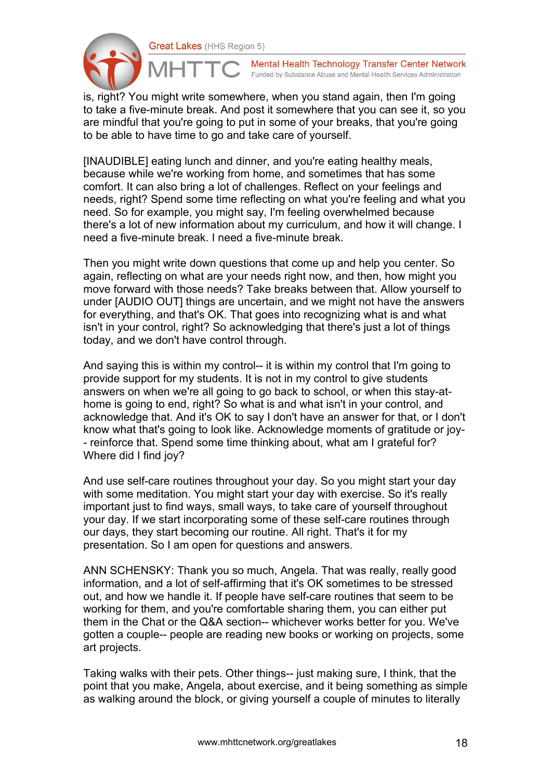

Mental Health Technology Transfer Center Network Funded by Substance Abuse and Mental Health Services Administration

is, right? You might write somewhere, when you stand again, then I'm going to take a five-minute break. And post it somewhere that you can see it, so you are mindful that you're going to put in some of your breaks, that you're going to be able to have time to go and take care of yourself.

[INAUDIBLE] eating lunch and dinner, and you're eating healthy meals, because while we're working from home, and sometimes that has some comfort. It can also bring a lot of challenges. Reflect on your feelings and needs, right? Spend some time reflecting on what you're feeling and what you need. So for example, you might say, I'm feeling overwhelmed because there's a lot of new information about my curriculum, and how it will change. I need a five-minute break. I need a five-minute break.

Then you might write down questions that come up and help you center. So again, reflecting on what are your needs right now, and then, how might you move forward with those needs? Take breaks between that. Allow yourself to under [AUDIO OUT] things are uncertain, and we might not have the answers for everything, and that's OK. That goes into recognizing what is and what isn't in your control, right? So acknowledging that there's just a lot of things today, and we don't have control through.

And saying this is within my control-- it is within my control that I'm going to provide support for my students. It is not in my control to give students answers on when we're all going to go back to school, or when this stay-athome is going to end, right? So what is and what isn't in your control, and acknowledge that. And it's OK to say I don't have an answer for that, or I don't know what that's going to look like. Acknowledge moments of gratitude or joy- - reinforce that. Spend some time thinking about, what am I grateful for? Where did I find joy?

And use self-care routines throughout your day. So you might start your day with some meditation. You might start your day with exercise. So it's really important just to find ways, small ways, to take care of yourself throughout your day. If we start incorporating some of these self-care routines through our days, they start becoming our routine. All right. That's it for my presentation. So I am open for questions and answers.

ANN SCHENSKY: Thank you so much, Angela. That was really, really good information, and a lot of self-affirming that it's OK sometimes to be stressed out, and how we handle it. If people have self-care routines that seem to be working for them, and you're comfortable sharing them, you can either put them in the Chat or the Q&A section-- whichever works better for you. We've gotten a couple-- people are reading new books or working on projects, some art projects.

Taking walks with their pets. Other things-- just making sure, I think, that the point that you make, Angela, about exercise, and it being something as simple as walking around the block, or giving yourself a couple of minutes to literally